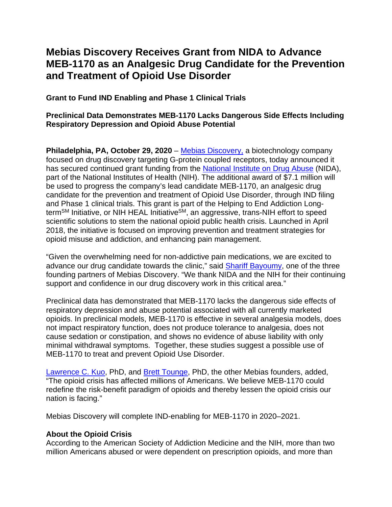# **Mebias Discovery Receives Grant from NIDA to Advance MEB-1170 as an Analgesic Drug Candidate for the Prevention and Treatment of Opioid Use Disorder**

**Grant to Fund IND Enabling and Phase 1 Clinical Trials** 

## **Preclinical Data Demonstrates MEB-1170 Lacks Dangerous Side Effects Including Respiratory Depression and Opioid Abuse Potential**

**Philadelphia, PA, October 29, 2020** – Mebias [Discovery,](https://mebiasdiscovery.com/) a biotechnology company focused on drug discovery targeting G-protein coupled receptors, today announced it has secured continued grant funding from the [National Institute on Drug Abuse](https://www.drugabuse.gov/) (NIDA), part of the National Institutes of Health (NIH). The additional award of \$7.1 million will be used to progress the company's lead candidate MEB-1170, an analgesic drug candidate for the prevention and treatment of Opioid Use Disorder, through IND filing and Phase 1 clinical trials. This grant is part of the Helping to End Addiction Longterm<sup>SM</sup> Initiative, or NIH HEAL Initiative<sup>SM</sup>, an aggressive, trans-NIH effort to speed scientific solutions to stem the national opioid public health crisis. Launched in April 2018, the initiative is focused on improving prevention and treatment strategies for opioid misuse and addiction, and enhancing pain management.

"Given the overwhelming need for non-addictive pain medications, we are excited to advance our drug candidate towards the clinic," said [Shariff Bayoumy,](https://mebiasdiscovery.com/team/) one of the three founding partners of Mebias Discovery. "We thank NIDA and the NIH for their continuing support and confidence in our drug discovery work in this critical area."

Preclinical data has demonstrated that MEB-1170 lacks the dangerous side effects of respiratory depression and abuse potential associated with all currently marketed opioids. In preclinical models, MEB-1170 is effective in several analgesia models, does not impact respiratory function, does not produce tolerance to analgesia, does not cause sedation or constipation, and shows no evidence of abuse liability with only minimal withdrawal symptoms. Together, these studies suggest a possible use of MEB-1170 to treat and prevent Opioid Use Disorder.

[Lawrence C. Kuo,](https://mebiasdiscovery.com/team/) PhD, and [Brett Tounge,](https://mebiasdiscovery.com/team/) PhD, the other Mebias founders, added, "The opioid crisis has affected millions of Americans. We believe MEB-1170 could redefine the risk-benefit paradigm of opioids and thereby lessen the opioid crisis our nation is facing."

Mebias Discovery will complete IND-enabling for MEB-1170 in 2020–2021.

## **About the Opioid Crisis**

According to the [American Society of Addiction Medicine](https://www.asam.org/docs/default-source/advocacy/opioid-addiction-disease-facts-figures.pdf) and the [NIH,](https://www.drugabuse.gov/related-topics/trends-statistics/overdose-death-rates) more than two million Americans abused or were dependent on prescription opioids, and more than